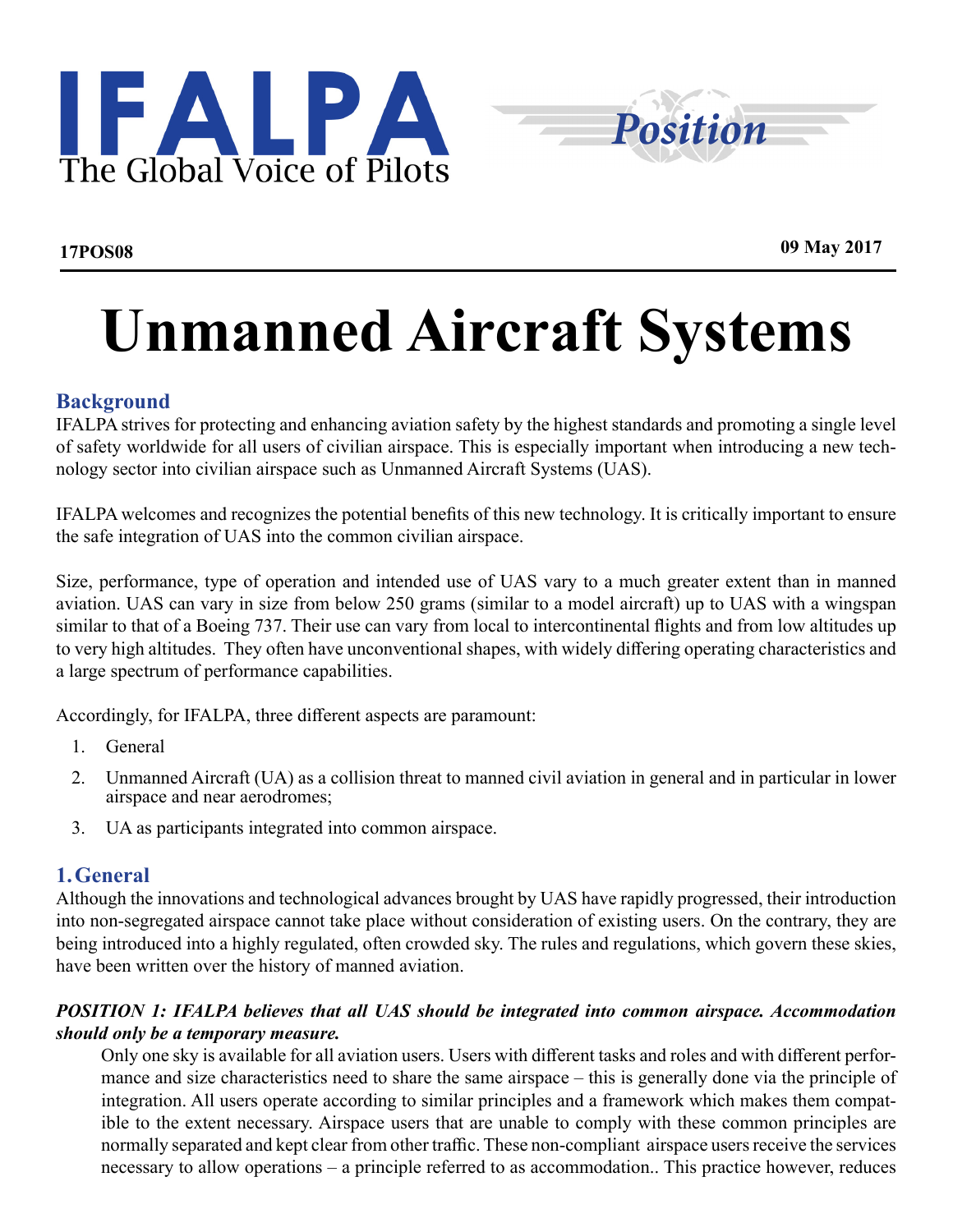



# **Unmanned Aircraft Systems**

# **Background**

IFALPA strives for protecting and enhancing aviation safety by the highest standards and promoting a single level of safety worldwide for all users of civilian airspace. This is especially important when introducing a new technology sector into civilian airspace such as Unmanned Aircraft Systems (UAS).

IFALPA welcomes and recognizes the potential benefits of this new technology. It is critically important to ensure the safe integration of UAS into the common civilian airspace.

Size, performance, type of operation and intended use of UAS vary to a much greater extent than in manned aviation. UAS can vary in size from below 250 grams (similar to a model aircraft) up to UAS with a wingspan similar to that of a Boeing 737. Their use can vary from local to intercontinental flights and from low altitudes up to very high altitudes. They often have unconventional shapes, with widely differing operating characteristics and a large spectrum of performance capabilities.

Accordingly, for IFALPA, three different aspects are paramount:

- 1. General
- 2. Unmanned Aircraft (UA) as a collision threat to manned civil aviation in general and in particular in lower airspace and near aerodromes;
- 3. UA as participants integrated into common airspace.

#### **1.General**

Although the innovations and technological advances brought by UAS have rapidly progressed, their introduction into non-segregated airspace cannot take place without consideration of existing users. On the contrary, they are being introduced into a highly regulated, often crowded sky. The rules and regulations, which govern these skies, have been written over the history of manned aviation.

#### *POSITION 1: IFALPA believes that all UAS should be integrated into common airspace. Accommodation should only be a temporary measure.*

Only one sky is available for all aviation users. Users with different tasks and roles and with different performance and size characteristics need to share the same airspace – this is generally done via the principle of integration. All users operate according to similar principles and a framework which makes them compatible to the extent necessary. Airspace users that are unable to comply with these common principles are normally separated and kept clear from other traffic. These non-compliant airspace users receive the services necessary to allow operations – a principle referred to as accommodation.. This practice however, reduces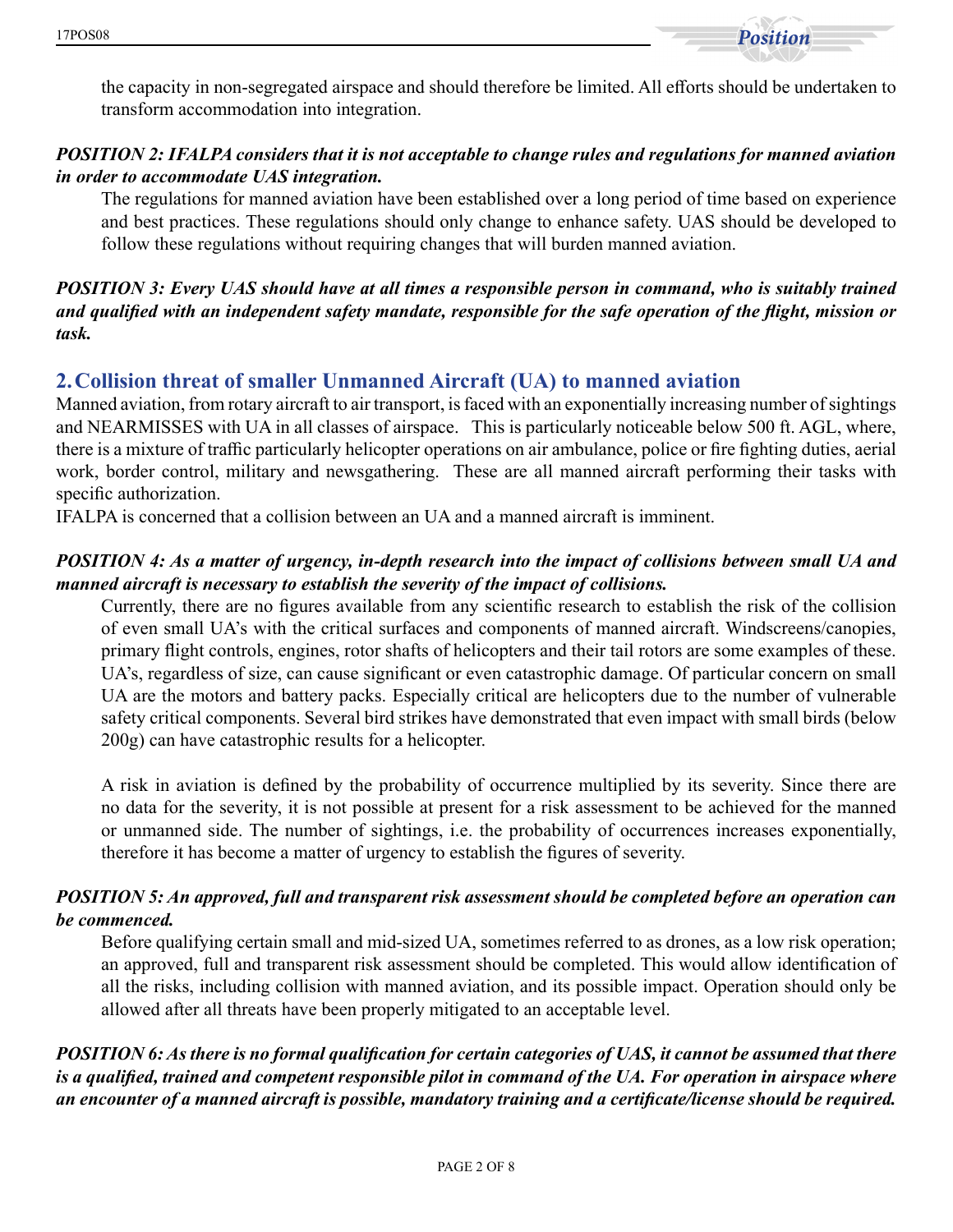

the capacity in non-segregated airspace and should therefore be limited. All efforts should be undertaken to transform accommodation into integration.

### *POSITION 2: IFALPA considers that it is not acceptable to change rules and regulations for manned aviation in order to accommodate UAS integration.*

The regulations for manned aviation have been established over a long period of time based on experience and best practices. These regulations should only change to enhance safety. UAS should be developed to follow these regulations without requiring changes that will burden manned aviation.

#### *POSITION 3: Every UAS should have at all times a responsible person in command, who is suitably trained and qualified with an independent safety mandate, responsible for the safe operation of the flight, mission or task.*

# **2.Collision threat of smaller Unmanned Aircraft (UA) to manned aviation**

Manned aviation, from rotary aircraft to air transport, is faced with an exponentially increasing number of sightings and NEARMISSES with UA in all classes of airspace. This is particularly noticeable below 500 ft. AGL, where, there is a mixture of traffic particularly helicopter operations on air ambulance, police or fire fighting duties, aerial work, border control, military and newsgathering. These are all manned aircraft performing their tasks with specific authorization.

IFALPA is concerned that a collision between an UA and a manned aircraft is imminent.

#### *POSITION 4: As a matter of urgency, in-depth research into the impact of collisions between small UA and manned aircraft is necessary to establish the severity of the impact of collisions.*

Currently, there are no figures available from any scientific research to establish the risk of the collision of even small UA's with the critical surfaces and components of manned aircraft. Windscreens/canopies, primary flight controls, engines, rotor shafts of helicopters and their tail rotors are some examples of these. UA's, regardless of size, can cause significant or even catastrophic damage. Of particular concern on small UA are the motors and battery packs. Especially critical are helicopters due to the number of vulnerable safety critical components. Several bird strikes have demonstrated that even impact with small birds (below 200g) can have catastrophic results for a helicopter.

A risk in aviation is defined by the probability of occurrence multiplied by its severity. Since there are no data for the severity, it is not possible at present for a risk assessment to be achieved for the manned or unmanned side. The number of sightings, i.e. the probability of occurrences increases exponentially, therefore it has become a matter of urgency to establish the figures of severity.

#### *POSITION 5: An approved, full and transparent risk assessment should be completed before an operation can be commenced.*

Before qualifying certain small and mid-sized UA, sometimes referred to as drones, as a low risk operation; an approved, full and transparent risk assessment should be completed. This would allow identification of all the risks, including collision with manned aviation, and its possible impact. Operation should only be allowed after all threats have been properly mitigated to an acceptable level.

*POSITION 6: As there is no formal qualification for certain categories of UAS, it cannot be assumed that there is a qualified, trained and competent responsible pilot in command of the UA. For operation in airspace where an encounter of a manned aircraft is possible, mandatory training and a certificate/license should be required.*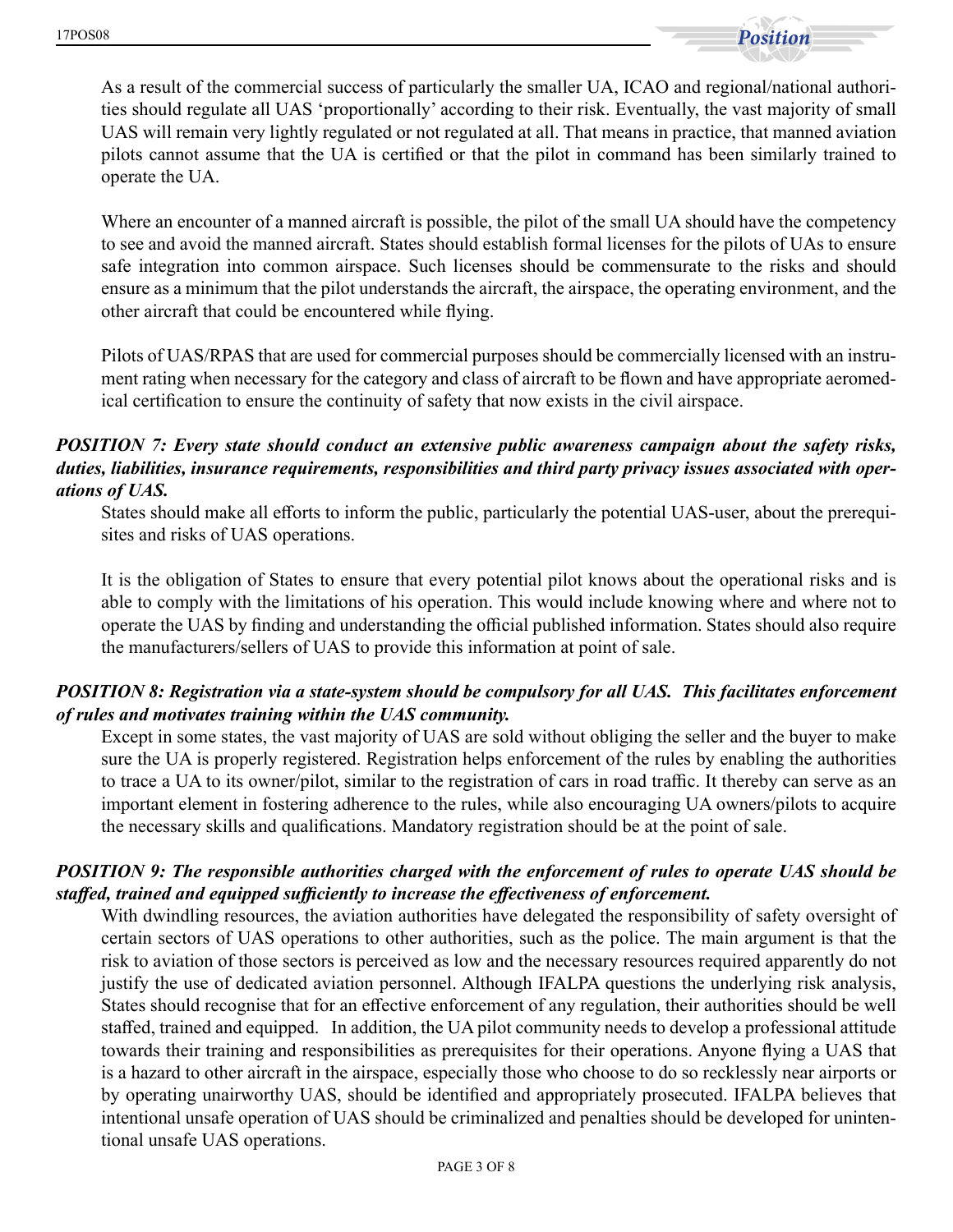

As a result of the commercial success of particularly the smaller UA, ICAO and regional/national authorities should regulate all UAS 'proportionally' according to their risk. Eventually, the vast majority of small UAS will remain very lightly regulated or not regulated at all. That means in practice, that manned aviation pilots cannot assume that the UA is certified or that the pilot in command has been similarly trained to operate the UA.

Where an encounter of a manned aircraft is possible, the pilot of the small UA should have the competency to see and avoid the manned aircraft. States should establish formal licenses for the pilots of UAs to ensure safe integration into common airspace. Such licenses should be commensurate to the risks and should ensure as a minimum that the pilot understands the aircraft, the airspace, the operating environment, and the other aircraft that could be encountered while flying.

Pilots of UAS/RPAS that are used for commercial purposes should be commercially licensed with an instrument rating when necessary for the category and class of aircraft to be flown and have appropriate aeromedical certification to ensure the continuity of safety that now exists in the civil airspace.

#### *POSITION 7: Every state should conduct an extensive public awareness campaign about the safety risks, duties, liabilities, insurance requirements, responsibilities and third party privacy issues associated with operations of UAS.*

States should make all efforts to inform the public, particularly the potential UAS-user, about the prerequisites and risks of UAS operations.

It is the obligation of States to ensure that every potential pilot knows about the operational risks and is able to comply with the limitations of his operation. This would include knowing where and where not to operate the UAS by finding and understanding the official published information. States should also require the manufacturers/sellers of UAS to provide this information at point of sale.

#### *POSITION 8: Registration via a state-system should be compulsory for all UAS. This facilitates enforcement of rules and motivates training within the UAS community.*

Except in some states, the vast majority of UAS are sold without obliging the seller and the buyer to make sure the UA is properly registered. Registration helps enforcement of the rules by enabling the authorities to trace a UA to its owner/pilot, similar to the registration of cars in road traffic. It thereby can serve as an important element in fostering adherence to the rules, while also encouraging UA owners/pilots to acquire the necessary skills and qualifications. Mandatory registration should be at the point of sale.

#### *POSITION 9: The responsible authorities charged with the enforcement of rules to operate UAS should be staffed, trained and equipped sufficiently to increase the effectiveness of enforcement.*

With dwindling resources, the aviation authorities have delegated the responsibility of safety oversight of certain sectors of UAS operations to other authorities, such as the police. The main argument is that the risk to aviation of those sectors is perceived as low and the necessary resources required apparently do not justify the use of dedicated aviation personnel. Although IFALPA questions the underlying risk analysis, States should recognise that for an effective enforcement of any regulation, their authorities should be well staffed, trained and equipped. In addition, the UA pilot community needs to develop a professional attitude towards their training and responsibilities as prerequisites for their operations. Anyone flying a UAS that is a hazard to other aircraft in the airspace, especially those who choose to do so recklessly near airports or by operating unairworthy UAS, should be identified and appropriately prosecuted. IFALPA believes that intentional unsafe operation of UAS should be criminalized and penalties should be developed for unintentional unsafe UAS operations.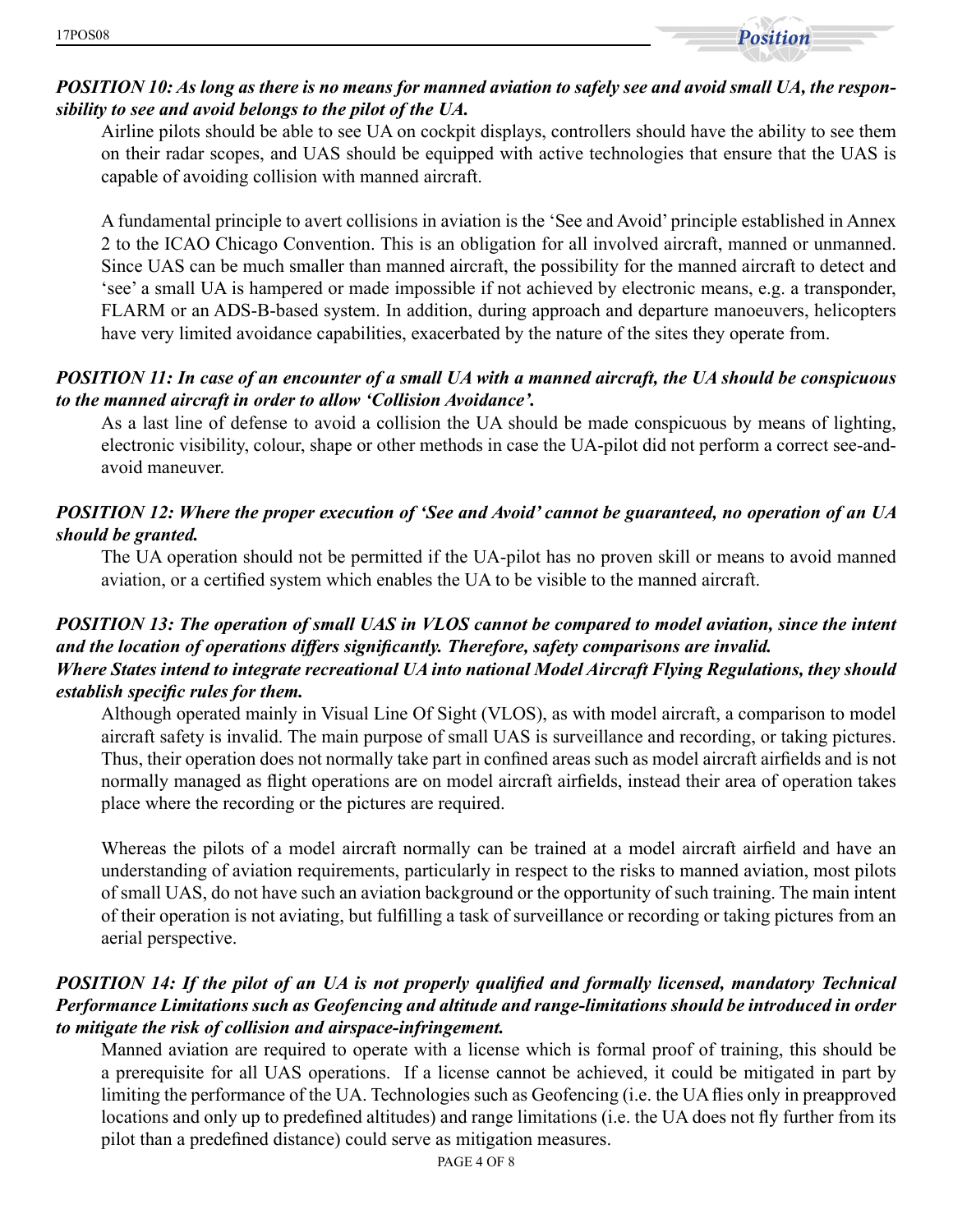

#### *POSITION 10: As long as there is no means for manned aviation to safely see and avoid small UA, the responsibility to see and avoid belongs to the pilot of the UA.*

Airline pilots should be able to see UA on cockpit displays, controllers should have the ability to see them on their radar scopes, and UAS should be equipped with active technologies that ensure that the UAS is capable of avoiding collision with manned aircraft.

A fundamental principle to avert collisions in aviation is the 'See and Avoid' principle established in Annex 2 to the ICAO Chicago Convention. This is an obligation for all involved aircraft, manned or unmanned. Since UAS can be much smaller than manned aircraft, the possibility for the manned aircraft to detect and 'see' a small UA is hampered or made impossible if not achieved by electronic means, e.g. a transponder, FLARM or an ADS-B-based system. In addition, during approach and departure manoeuvers, helicopters have very limited avoidance capabilities, exacerbated by the nature of the sites they operate from.

#### *POSITION 11: In case of an encounter of a small UA with a manned aircraft, the UA should be conspicuous to the manned aircraft in order to allow 'Collision Avoidance'.*

As a last line of defense to avoid a collision the UA should be made conspicuous by means of lighting, electronic visibility, colour, shape or other methods in case the UA-pilot did not perform a correct see-andavoid maneuver.

#### *POSITION 12: Where the proper execution of 'See and Avoid' cannot be guaranteed, no operation of an UA should be granted.*

The UA operation should not be permitted if the UA-pilot has no proven skill or means to avoid manned aviation, or a certified system which enables the UA to be visible to the manned aircraft.

#### *POSITION 13: The operation of small UAS in VLOS cannot be compared to model aviation, since the intent and the location of operations differs significantly. Therefore, safety comparisons are invalid. Where States intend to integrate recreational UA into national Model Aircraft Flying Regulations, they should establish specific rules for them.*

Although operated mainly in Visual Line Of Sight (VLOS), as with model aircraft, a comparison to model aircraft safety is invalid. The main purpose of small UAS is surveillance and recording, or taking pictures. Thus, their operation does not normally take part in confined areas such as model aircraft airfields and is not normally managed as flight operations are on model aircraft airfields, instead their area of operation takes place where the recording or the pictures are required.

Whereas the pilots of a model aircraft normally can be trained at a model aircraft airfield and have an understanding of aviation requirements, particularly in respect to the risks to manned aviation, most pilots of small UAS, do not have such an aviation background or the opportunity of such training. The main intent of their operation is not aviating, but fulfilling a task of surveillance or recording or taking pictures from an aerial perspective.

#### *POSITION 14: If the pilot of an UA is not properly qualified and formally licensed, mandatory Technical Performance Limitations such as Geofencing and altitude and range-limitations should be introduced in order to mitigate the risk of collision and airspace-infringement.*

Manned aviation are required to operate with a license which is formal proof of training, this should be a prerequisite for all UAS operations. If a license cannot be achieved, it could be mitigated in part by limiting the performance of the UA. Technologies such as Geofencing (i.e. the UA flies only in preapproved locations and only up to predefined altitudes) and range limitations (i.e. the UA does not fly further from its pilot than a predefined distance) could serve as mitigation measures.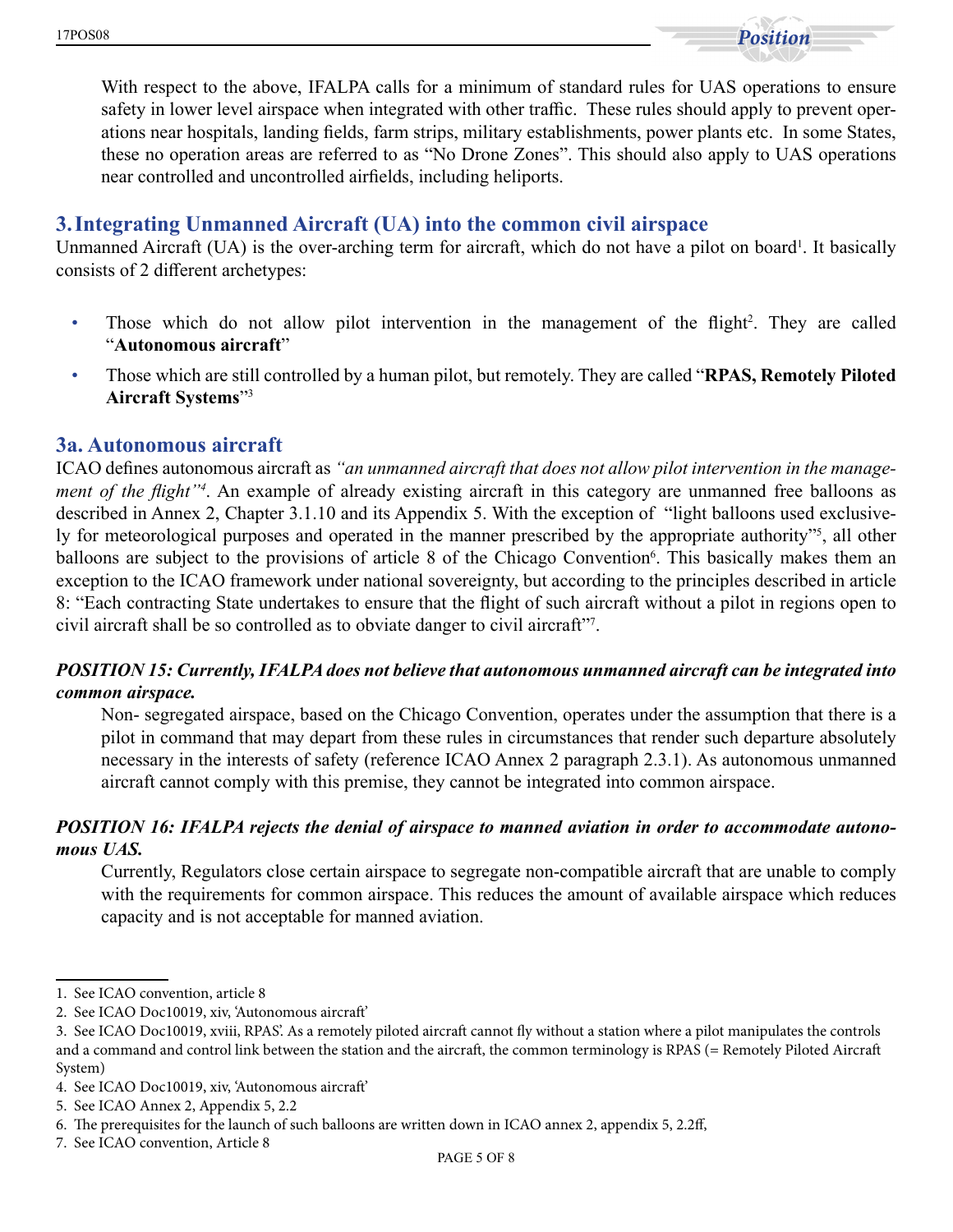With respect to the above, IFALPA calls for a minimum of standard rules for UAS operations to ensure safety in lower level airspace when integrated with other traffic. These rules should apply to prevent operations near hospitals, landing fields, farm strips, military establishments, power plants etc. In some States, these no operation areas are referred to as "No Drone Zones". This should also apply to UAS operations near controlled and uncontrolled airfields, including heliports.

# **3.Integrating Unmanned Aircraft (UA) into the common civil airspace**

Unmanned Aircraft (UA) is the over-arching term for aircraft, which do not have a pilot on board<sup>1</sup>. It basically consists of 2 different archetypes:

- Those which do not allow pilot intervention in the management of the flight<sup>2</sup>. They are called "**Autonomous aircraft**"
- Those which are still controlled by a human pilot, but remotely. They are called "**RPAS, Remotely Piloted Aircraft Systems**"3

#### **3a. Autonomous aircraft**

ICAO defines autonomous aircraft as *"an unmanned aircraft that does not allow pilot intervention in the management of the flight"<sup>4</sup>* . An example of already existing aircraft in this category are unmanned free balloons as described in Annex 2, Chapter 3.1.10 and its Appendix 5. With the exception of "light balloons used exclusively for meteorological purposes and operated in the manner prescribed by the appropriate authority"<sup>5</sup>, all other balloons are subject to the provisions of article 8 of the Chicago Convention<sup>6</sup>. This basically makes them an exception to the ICAO framework under national sovereignty, but according to the principles described in article 8: "Each contracting State undertakes to ensure that the flight of such aircraft without a pilot in regions open to civil aircraft shall be so controlled as to obviate danger to civil aircraft"7 .

#### *POSITION 15: Currently, IFALPA does not believe that autonomous unmanned aircraft can be integrated into common airspace.*

Non- segregated airspace, based on the Chicago Convention, operates under the assumption that there is a pilot in command that may depart from these rules in circumstances that render such departure absolutely necessary in the interests of safety (reference ICAO Annex 2 paragraph 2.3.1). As autonomous unmanned aircraft cannot comply with this premise, they cannot be integrated into common airspace.

#### *POSITION 16: IFALPA rejects the denial of airspace to manned aviation in order to accommodate autonomous UAS.*

Currently, Regulators close certain airspace to segregate non-compatible aircraft that are unable to comply with the requirements for common airspace. This reduces the amount of available airspace which reduces capacity and is not acceptable for manned aviation.

<sup>1.</sup> See ICAO convention, article 8

<sup>2.</sup> See ICAO Doc10019, xiv, 'Autonomous aircraft'

<sup>3.</sup> See ICAO Doc10019, xviii, RPAS'. As a remotely piloted aircraft cannot fly without a station where a pilot manipulates the controls and a command and control link between the station and the aircraft, the common terminology is RPAS (= Remotely Piloted Aircraft System)

<sup>4.</sup> See ICAO Doc10019, xiv, 'Autonomous aircraft'

<sup>5.</sup> See ICAO Annex 2, Appendix 5, 2.2

<sup>6.</sup> The prerequisites for the launch of such balloons are written down in ICAO annex 2, appendix 5, 2.2ff,

<sup>7.</sup> See ICAO convention, Article 8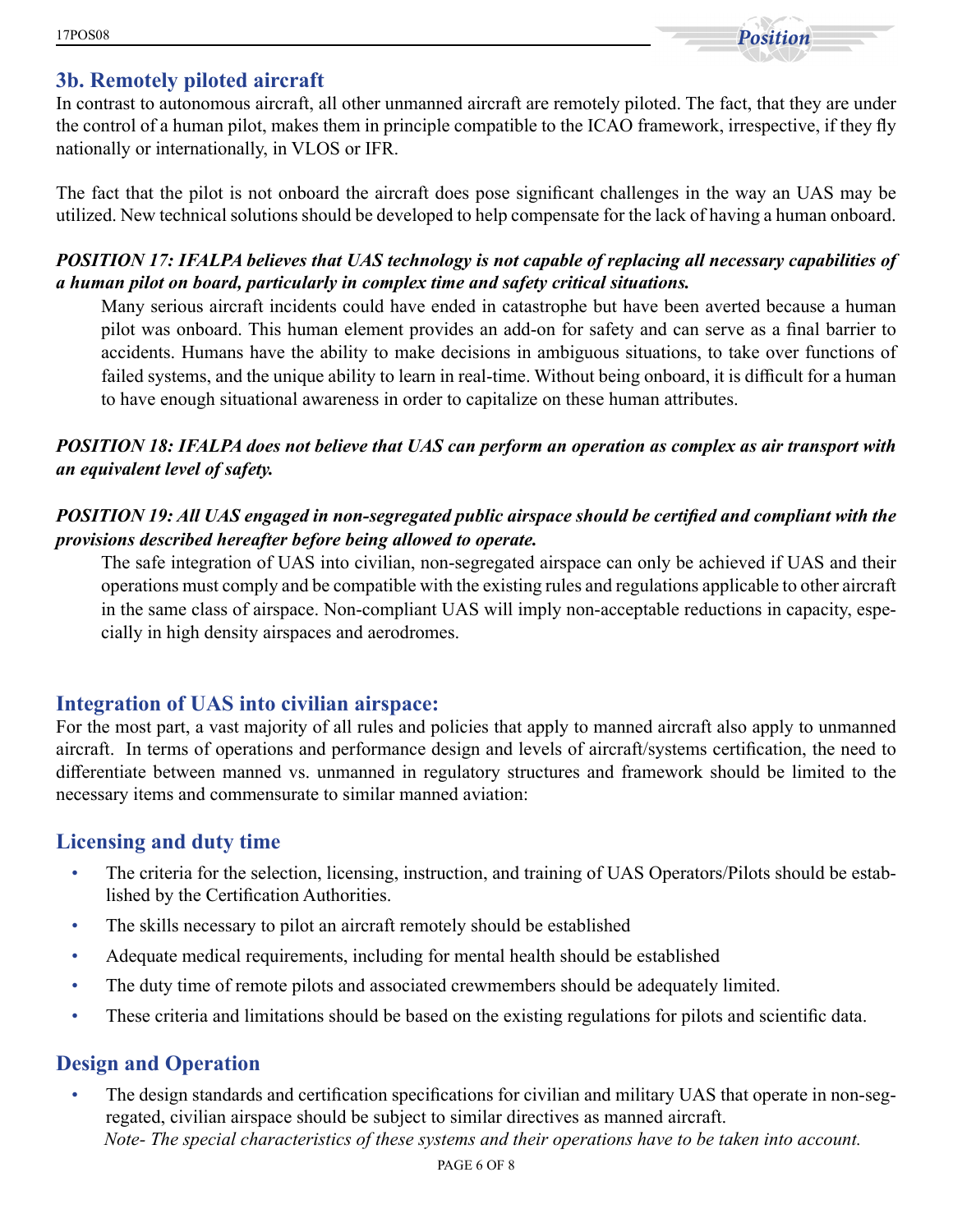# **3b. Remotely piloted aircraft**

In contrast to autonomous aircraft, all other unmanned aircraft are remotely piloted. The fact, that they are under the control of a human pilot, makes them in principle compatible to the ICAO framework, irrespective, if they fly nationally or internationally, in VLOS or IFR.

The fact that the pilot is not onboard the aircraft does pose significant challenges in the way an UAS may be utilized. New technical solutions should be developed to help compensate for the lack of having a human onboard.

#### *POSITION 17: IFALPA believes that UAS technology is not capable of replacing all necessary capabilities of a human pilot on board, particularly in complex time and safety critical situations.*

Many serious aircraft incidents could have ended in catastrophe but have been averted because a human pilot was onboard. This human element provides an add-on for safety and can serve as a final barrier to accidents. Humans have the ability to make decisions in ambiguous situations, to take over functions of failed systems, and the unique ability to learn in real-time. Without being onboard, it is difficult for a human to have enough situational awareness in order to capitalize on these human attributes.

### *POSITION 18: IFALPA does not believe that UAS can perform an operation as complex as air transport with an equivalent level of safety.*

### *POSITION 19: All UAS engaged in non-segregated public airspace should be certified and compliant with the provisions described hereafter before being allowed to operate.*

The safe integration of UAS into civilian, non-segregated airspace can only be achieved if UAS and their operations must comply and be compatible with the existing rules and regulations applicable to other aircraft in the same class of airspace. Non-compliant UAS will imply non-acceptable reductions in capacity, especially in high density airspaces and aerodromes.

# **Integration of UAS into civilian airspace:**

For the most part, a vast majority of all rules and policies that apply to manned aircraft also apply to unmanned aircraft. In terms of operations and performance design and levels of aircraft/systems certification, the need to differentiate between manned vs. unmanned in regulatory structures and framework should be limited to the necessary items and commensurate to similar manned aviation:

# **Licensing and duty time**

- The criteria for the selection, licensing, instruction, and training of UAS Operators/Pilots should be established by the Certification Authorities.
- The skills necessary to pilot an aircraft remotely should be established
- Adequate medical requirements, including for mental health should be established
- The duty time of remote pilots and associated crewmembers should be adequately limited.
- These criteria and limitations should be based on the existing regulations for pilots and scientific data.

# **Design and Operation**

• The design standards and certification specifications for civilian and military UAS that operate in non-segregated, civilian airspace should be subject to similar directives as manned aircraft. *Note- The special characteristics of these systems and their operations have to be taken into account.*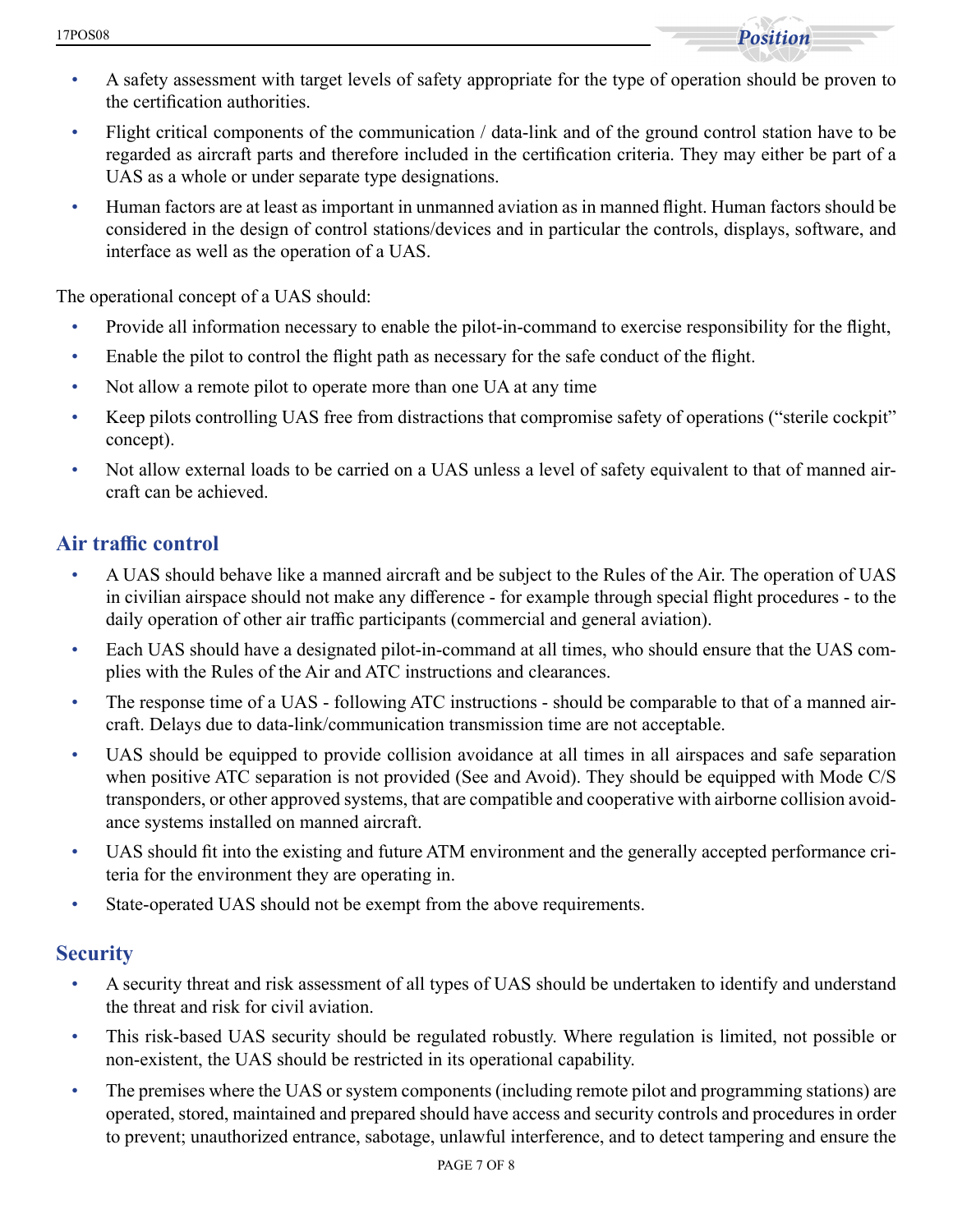

- A safety assessment with target levels of safety appropriate for the type of operation should be proven to the certification authorities.
- Flight critical components of the communication / data-link and of the ground control station have to be regarded as aircraft parts and therefore included in the certification criteria. They may either be part of a UAS as a whole or under separate type designations.
- Human factors are at least as important in unmanned aviation as in manned flight. Human factors should be considered in the design of control stations/devices and in particular the controls, displays, software, and interface as well as the operation of a UAS.

The operational concept of a UAS should:

- Provide all information necessary to enable the pilot-in-command to exercise responsibility for the flight,
- Enable the pilot to control the flight path as necessary for the safe conduct of the flight.
- Not allow a remote pilot to operate more than one UA at any time
- Keep pilots controlling UAS free from distractions that compromise safety of operations ("sterile cockpit" concept).
- Not allow external loads to be carried on a UAS unless a level of safety equivalent to that of manned aircraft can be achieved.

# **Air traffic control**

- A UAS should behave like a manned aircraft and be subject to the Rules of the Air. The operation of UAS in civilian airspace should not make any difference - for example through special flight procedures - to the daily operation of other air traffic participants (commercial and general aviation).
- Each UAS should have a designated pilot-in-command at all times, who should ensure that the UAS complies with the Rules of the Air and ATC instructions and clearances.
- The response time of a UAS following ATC instructions should be comparable to that of a manned aircraft. Delays due to data-link/communication transmission time are not acceptable.
- UAS should be equipped to provide collision avoidance at all times in all airspaces and safe separation when positive ATC separation is not provided (See and Avoid). They should be equipped with Mode C/S transponders, or other approved systems, that are compatible and cooperative with airborne collision avoidance systems installed on manned aircraft.
- UAS should fit into the existing and future ATM environment and the generally accepted performance criteria for the environment they are operating in.
- State-operated UAS should not be exempt from the above requirements.

# **Security**

- A security threat and risk assessment of all types of UAS should be undertaken to identify and understand the threat and risk for civil aviation.
- This risk-based UAS security should be regulated robustly. Where regulation is limited, not possible or non-existent, the UAS should be restricted in its operational capability.
- The premises where the UAS or system components (including remote pilot and programming stations) are operated, stored, maintained and prepared should have access and security controls and procedures in order to prevent; unauthorized entrance, sabotage, unlawful interference, and to detect tampering and ensure the